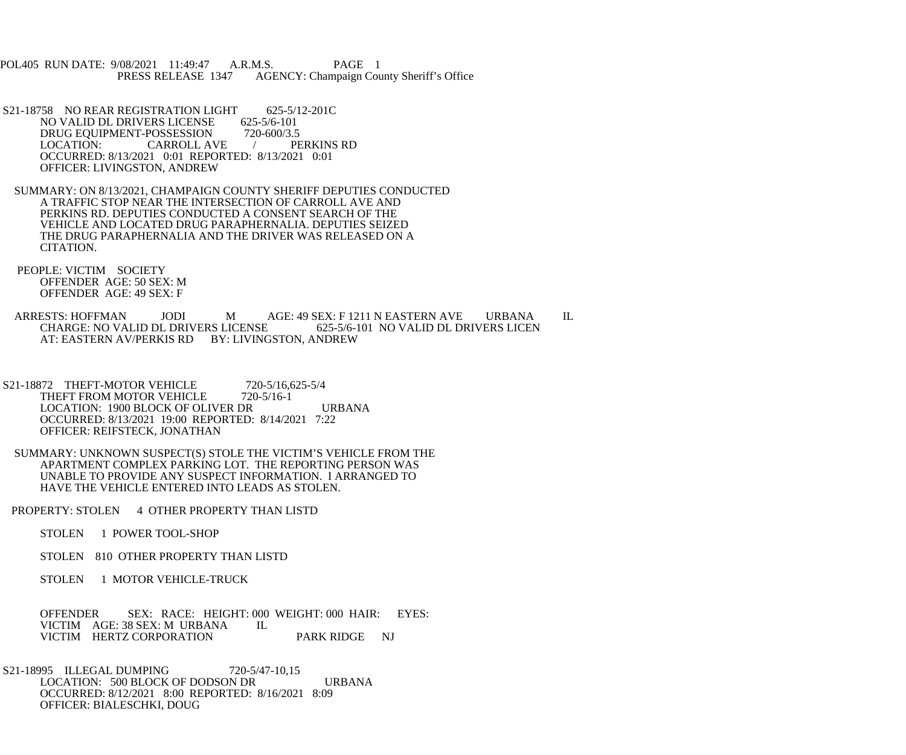POL405 RUN DATE: 9/08/2021 11:49:47 A.R.M.S. PAGE 1<br>PRESS RELEASE 1347 AGENCY: Champaign Cou AGENCY: Champaign County Sheriff's Office

- S21-18758 NO REAR REGISTRATION LIGHT 625-5/12-201C<br>NO VALID DL DRIVERS LICENSE 625-5/6-101 NO VALID DL DRIVERS LICENSE 625-5/6-101<br>DRUG EOUIPMENT-POSSESSION 720-600/3.5 DRUG EQUIPMENT-POSSESSION 720-600/3.5<br>LOCATION: CARROLL AVE / PERKINS RD CARROLL AVE / OCCURRED: 8/13/2021 0:01 REPORTED: 8/13/2021 0:01 OFFICER: LIVINGSTON, ANDREW
- SUMMARY: ON 8/13/2021, CHAMPAIGN COUNTY SHERIFF DEPUTIES CONDUCTED A TRAFFIC STOP NEAR THE INTERSECTION OF CARROLL AVE AND PERKINS RD. DEPUTIES CONDUCTED A CONSENT SEARCH OF THE VEHICLE AND LOCATED DRUG PARAPHERNALIA. DEPUTIES SEIZED THE DRUG PARAPHERNALIA AND THE DRIVER WAS RELEASED ON A CITATION.
- PEOPLE: VICTIM SOCIETY OFFENDER AGE: 50 SEX: M OFFENDER AGE: 49 SEX: F
- ARRESTS: HOFFMAN JODI MAGE: 49 SEX: F 1211 N EASTERN AVE URBANA IL CHARGE: NO VALID DL DRIVERS LICEN CHARGE: NO VALID DL DRIVERS LICENSE AT: EASTERN AV/PERKIS RD BY: LIVINGSTON, ANDREW
- S21-18872 THEFT-MOTOR VEHICLE 720-5/16,625-5/4<br>THEFT FROM MOTOR VEHICLE 720-5/16-1 THEFT FROM MOTOR VEHICLE LOCATION: 1900 BLOCK OF OLIVER DR URBANA OCCURRED: 8/13/2021 19:00 REPORTED: 8/14/2021 7:22 OFFICER: REIFSTECK, JONATHAN
- SUMMARY: UNKNOWN SUSPECT(S) STOLE THE VICTIM'S VEHICLE FROM THE APARTMENT COMPLEX PARKING LOT. THE REPORTING PERSON WAS UNABLE TO PROVIDE ANY SUSPECT INFORMATION. I ARRANGED TO HAVE THE VEHICLE ENTERED INTO LEADS AS STOLEN.
- PROPERTY: STOLEN 4 OTHER PROPERTY THAN LISTD
	- STOLEN 1 POWER TOOL-SHOP
	- STOLEN 810 OTHER PROPERTY THAN LISTD
	- STOLEN 1 MOTOR VEHICLE-TRUCK

OFFENDER SEX: RACE: HEIGHT: 000 WEIGHT: 000 HAIR: EYES: VICTIM AGE: 38 SEX: M URBANA IL VICTIM AGE: 38 SEX: M URBANA VICTIM HERTZ CORPORATION PARK RIDGE NJ

 S21-18995 ILLEGAL DUMPING 720-5/47-10,15 LOCATION: 500 BLOCK OF DODSON DR URBANA OCCURRED: 8/12/2021 8:00 REPORTED: 8/16/2021 8:09 OFFICER: BIALESCHKI, DOUG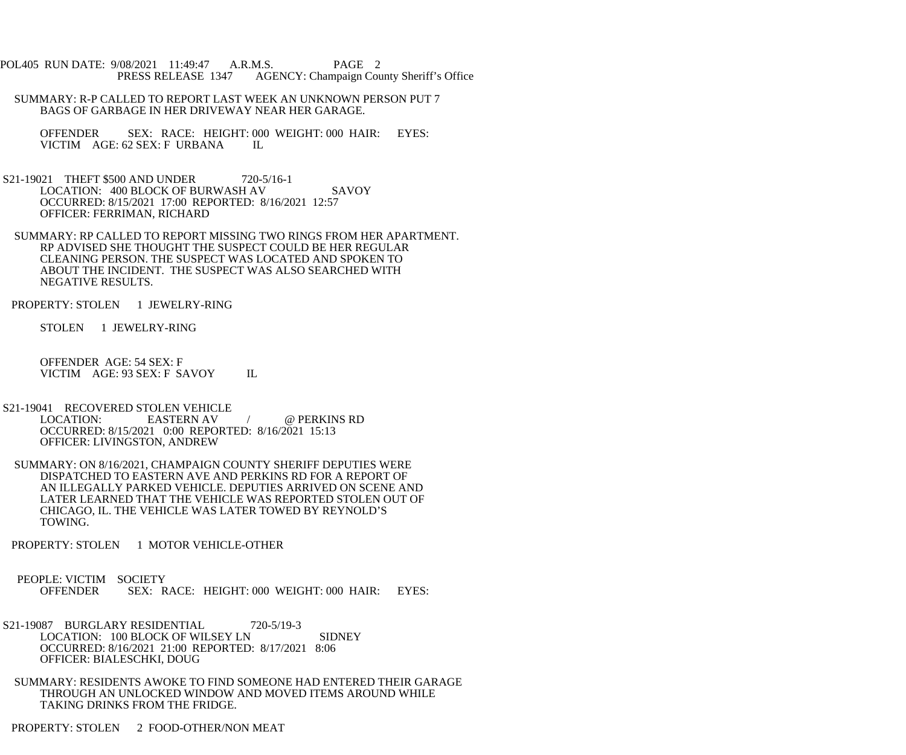POL405 RUN DATE: 9/08/2021 11:49:47 A.R.M.S. PAGE 2 PRESS RELEASE 1347 AGENCY: Champaign County Sheriff's Office

- SUMMARY: R-P CALLED TO REPORT LAST WEEK AN UNKNOWN PERSON PUT 7 BAGS OF GARBAGE IN HER DRIVEWAY NEAR HER GARAGE.
	- OFFENDER SEX: RACE: HEIGHT: 000 WEIGHT: 000 HAIR: EYES: VICTIM AGE: 62 SEX: F URBANA IL
- S21-19021 THEFT \$500 AND UNDER 720-5/16-1 LOCATION: 400 BLOCK OF BURWASH AV SAVOY OCCURRED: 8/15/2021 17:00 REPORTED: 8/16/2021 12:57 OFFICER: FERRIMAN, RICHARD
- SUMMARY: RP CALLED TO REPORT MISSING TWO RINGS FROM HER APARTMENT. RP ADVISED SHE THOUGHT THE SUSPECT COULD BE HER REGULAR CLEANING PERSON. THE SUSPECT WAS LOCATED AND SPOKEN TO ABOUT THE INCIDENT. THE SUSPECT WAS ALSO SEARCHED WITH NEGATIVE RESULTS.
- PROPERTY: STOLEN 1 JEWELRY-RING
	- STOLEN 1 JEWELRY-RING
	- OFFENDER AGE: 54 SEX: F VICTIM AGE: 93 SEX: F SAVOY IL
- S21-19041 RECOVERED STOLEN VEHICLE<br>LOCATION: EASTERN AV EASTERN AV / @ PERKINS RD OCCURRED: 8/15/2021 0:00 REPORTED: 8/16/2021 15:13 OFFICER: LIVINGSTON, ANDREW
- SUMMARY: ON 8/16/2021, CHAMPAIGN COUNTY SHERIFF DEPUTIES WERE DISPATCHED TO EASTERN AVE AND PERKINS RD FOR A REPORT OF AN ILLEGALLY PARKED VEHICLE. DEPUTIES ARRIVED ON SCENE AND LATER LEARNED THAT THE VEHICLE WAS REPORTED STOLEN OUT OF CHICAGO, IL. THE VEHICLE WAS LATER TOWED BY REYNOLD'S TOWING.
- PROPERTY: STOLEN 1 MOTOR VEHICLE-OTHER
- PEOPLE: VICTIM SOCIETY OFFENDER SEX: RACE: HEIGHT: 000 WEIGHT: 000 HAIR: EYES:
- S21-19087 BURGLARY RESIDENTIAL 720-5/19-3 LOCATION: 100 BLOCK OF WILSEY LN SIDNEY OCCURRED: 8/16/2021 21:00 REPORTED: 8/17/2021 8:06 OFFICER: BIALESCHKI, DOUG
- SUMMARY: RESIDENTS AWOKE TO FIND SOMEONE HAD ENTERED THEIR GARAGE THROUGH AN UNLOCKED WINDOW AND MOVED ITEMS AROUND WHILE TAKING DRINKS FROM THE FRIDGE.
- PROPERTY: STOLEN 2 FOOD-OTHER/NON MEAT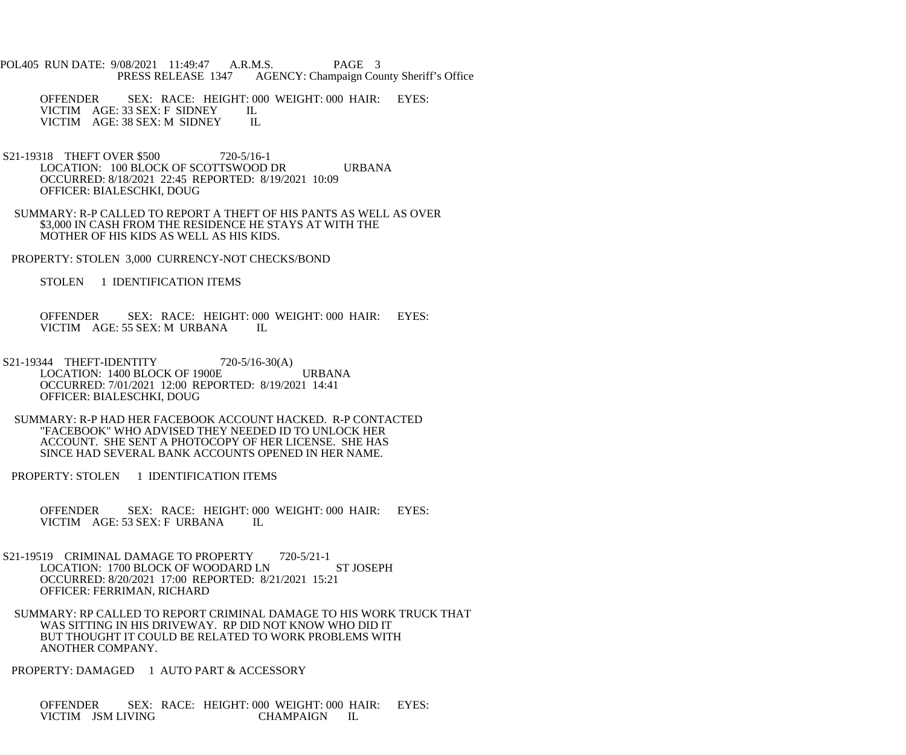POL405 RUN DATE: 9/08/2021 11:49:47 A.R.M.S. PAGE 3<br>PRESS RELEASE 1347 AGENCY: Champaign Cou AGENCY: Champaign County Sheriff's Office

OFFENDER SEX: RACE: HEIGHT: 000 WEIGHT: 000 HAIR: EYES: VICTIM AGE: 33 SEX: F SIDNEY IL VICTIM AGE: 33 SEX: F SIDNEY IL<br>VICTIM AGE: 38 SEX: M SIDNEY IL VICTIM AGE: 38 SEX: M SIDNEY

- S21-19318 THEFT OVER \$500 720-5/16-1 LOCATION: 100 BLOCK OF SCOTTSWOOD DR URBANA OCCURRED: 8/18/2021 22:45 REPORTED: 8/19/2021 10:09 OFFICER: BIALESCHKI, DOUG
- SUMMARY: R-P CALLED TO REPORT A THEFT OF HIS PANTS AS WELL AS OVER \$3,000 IN CASH FROM THE RESIDENCE HE STAYS AT WITH THE MOTHER OF HIS KIDS AS WELL AS HIS KIDS.
- PROPERTY: STOLEN 3,000 CURRENCY-NOT CHECKS/BOND

STOLEN 1 IDENTIFICATION ITEMS

 OFFENDER SEX: RACE: HEIGHT: 000 WEIGHT: 000 HAIR: EYES: VICTIM AGE: 55 SEX: M URBANA IL

- S21-19344 THEFT-IDENTITY 720-5/16-30(A) LOCATION: 1400 BLOCK OF 1900E URBANA OCCURRED: 7/01/2021 12:00 REPORTED: 8/19/2021 14:41 OFFICER: BIALESCHKI, DOUG
- SUMMARY: R-P HAD HER FACEBOOK ACCOUNT HACKED. R-P CONTACTED "FACEBOOK" WHO ADVISED THEY NEEDED ID TO UNLOCK HER ACCOUNT. SHE SENT A PHOTOCOPY OF HER LICENSE. SHE HAS SINCE HAD SEVERAL BANK ACCOUNTS OPENED IN HER NAME.
- PROPERTY: STOLEN 1 IDENTIFICATION ITEMS
	- OFFENDER SEX: RACE: HEIGHT: 000 WEIGHT: 000 HAIR: EYES: VICTIM AGE: 53 SEX: F URBANA IL
- S21-19519 CRIMINAL DAMAGE TO PROPERTY 720-5/21-1 LOCATION: 1700 BLOCK OF WOODARD LN ST JOSEPH OCCURRED: 8/20/2021 17:00 REPORTED: 8/21/2021 15:21 OFFICER: FERRIMAN, RICHARD
	- SUMMARY: RP CALLED TO REPORT CRIMINAL DAMAGE TO HIS WORK TRUCK THAT WAS SITTING IN HIS DRIVEWAY. RP DID NOT KNOW WHO DID IT BUT THOUGHT IT COULD BE RELATED TO WORK PROBLEMS WITH ANOTHER COMPANY.
- PROPERTY: DAMAGED 1 AUTO PART & ACCESSORY

 OFFENDER SEX: RACE: HEIGHT: 000 WEIGHT: 000 HAIR: EYES: VICTIM JSM LIVING CHAMPAIGN IL